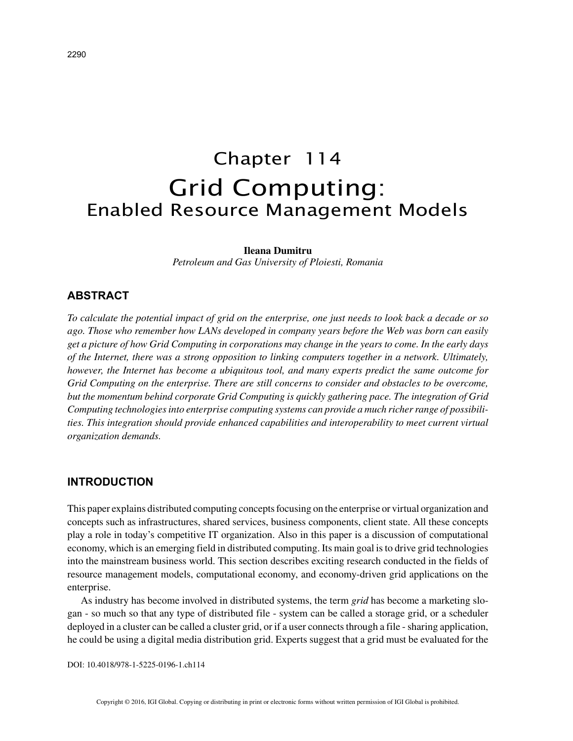# Chapter 114 Grid Computing: Enabled Resource Management Models

#### **Ileana Dumitru**

*Petroleum and Gas University of Ploiesti, Romania*

## **ABSTRACT**

*To calculate the potential impact of grid on the enterprise, one just needs to look back a decade or so ago. Those who remember how LANs developed in company years before the Web was born can easily get a picture of how Grid Computing in corporations may change in the years to come. In the early days of the Internet, there was a strong opposition to linking computers together in a network. Ultimately, however, the Internet has become a ubiquitous tool, and many experts predict the same outcome for Grid Computing on the enterprise. There are still concerns to consider and obstacles to be overcome, but the momentum behind corporate Grid Computing is quickly gathering pace. The integration of Grid Computing technologies into enterprise computing systems can provide a much richer range of possibilities. This integration should provide enhanced capabilities and interoperability to meet current virtual organization demands.*

#### **INTRODUCTION**

This paper explains distributed computing concepts focusing on the enterprise or virtual organization and concepts such as infrastructures, shared services, business components, client state. All these concepts play a role in today's competitive IT organization. Also in this paper is a discussion of computational economy, which is an emerging field in distributed computing. Its main goal is to drive grid technologies into the mainstream business world. This section describes exciting research conducted in the fields of resource management models, computational economy, and economy-driven grid applications on the enterprise.

As industry has become involved in distributed systems, the term *grid* has become a marketing slogan - so much so that any type of distributed file - system can be called a storage grid, or a scheduler deployed in a cluster can be called a cluster grid, or if a user connects through a file - sharing application, he could be using a digital media distribution grid. Experts suggest that a grid must be evaluated for the

DOI: 10.4018/978-1-5225-0196-1.ch114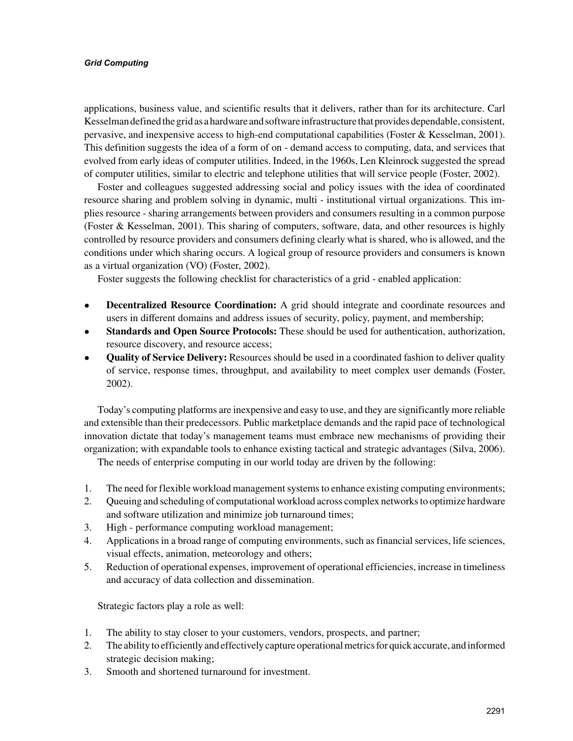#### *Grid Computing*

applications, business value, and scientific results that it delivers, rather than for its architecture. Carl Kesselman defined the grid as a hardware and software infrastructure that provides dependable, consistent, pervasive, and inexpensive access to high-end computational capabilities (Foster & Kesselman, 2001). This definition suggests the idea of a form of on - demand access to computing, data, and services that evolved from early ideas of computer utilities. Indeed, in the 1960s, Len Kleinrock suggested the spread of computer utilities, similar to electric and telephone utilities that will service people (Foster, 2002).

Foster and colleagues suggested addressing social and policy issues with the idea of coordinated resource sharing and problem solving in dynamic, multi - institutional virtual organizations. This implies resource - sharing arrangements between providers and consumers resulting in a common purpose (Foster & Kesselman, 2001). This sharing of computers, software, data, and other resources is highly controlled by resource providers and consumers defining clearly what is shared, who is allowed, and the conditions under which sharing occurs. A logical group of resource providers and consumers is known as a virtual organization (VO) (Foster, 2002).

Foster suggests the following checklist for characteristics of a grid - enabled application:

- **Decentralized Resource Coordination:** A grid should integrate and coordinate resources and users in different domains and address issues of security, policy, payment, and membership;
- **Standards and Open Source Protocols:** These should be used for authentication, authorization, resource discovery, and resource access;
- **Quality of Service Delivery:** Resources should be used in a coordinated fashion to deliver quality of service, response times, throughput, and availability to meet complex user demands (Foster, 2002).

Today's computing platforms are inexpensive and easy to use, and they are significantly more reliable and extensible than their predecessors. Public marketplace demands and the rapid pace of technological innovation dictate that today's management teams must embrace new mechanisms of providing their organization; with expandable tools to enhance existing tactical and strategic advantages (Silva, 2006).

The needs of enterprise computing in our world today are driven by the following:

- 1. The need for flexible workload management systems to enhance existing computing environments;
- 2. Queuing and scheduling of computational workload across complex networks to optimize hardware and software utilization and minimize job turnaround times;
- 3. High performance computing workload management;
- 4. Applications in a broad range of computing environments, such as financial services, life sciences, visual effects, animation, meteorology and others;
- 5. Reduction of operational expenses, improvement of operational efficiencies, increase in timeliness and accuracy of data collection and dissemination.

Strategic factors play a role as well:

- 1. The ability to stay closer to your customers, vendors, prospects, and partner;
- 2. The ability to efficiently and effectively capture operational metrics for quick accurate, and informed strategic decision making;
- 3. Smooth and shortened turnaround for investment.